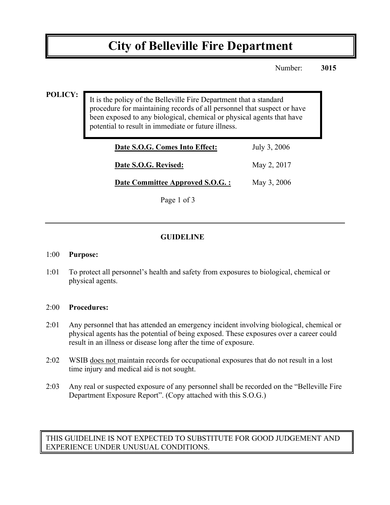# **City of Belleville Fire Department**

Number: **3015**

#### **POLICY:**

It is the policy of the Belleville Fire Department that a standard procedure for maintaining records of all personnel that suspect or have been exposed to any biological, chemical or physical agents that have potential to result in immediate or future illness.

| Date S.O.G. Comes Into Effect:   | July 3, 2006 |
|----------------------------------|--------------|
| Date S.O.G. Revised:             | May 2, 2017  |
| Date Committee Approved S.O.G. : | May 3, 2006  |
| Page 1 of 3                      |              |

## **GUIDELINE**

#### 1:00 **Purpose:**

1:01 To protect all personnel's health and safety from exposures to biological, chemical or physical agents.

#### 2:00 **Procedures:**

- 2:01 Any personnel that has attended an emergency incident involving biological, chemical or physical agents has the potential of being exposed. These exposures over a career could result in an illness or disease long after the time of exposure.
- 2:02 WSIB does not maintain records for occupational exposures that do not result in a lost time injury and medical aid is not sought.
- 2:03 Any real or suspected exposure of any personnel shall be recorded on the "Belleville Fire Department Exposure Report". (Copy attached with this S.O.G.)

## THIS GUIDELINE IS NOT EXPECTED TO SUBSTITUTE FOR GOOD JUDGEMENT AND EXPERIENCE UNDER UNUSUAL CONDITIONS.